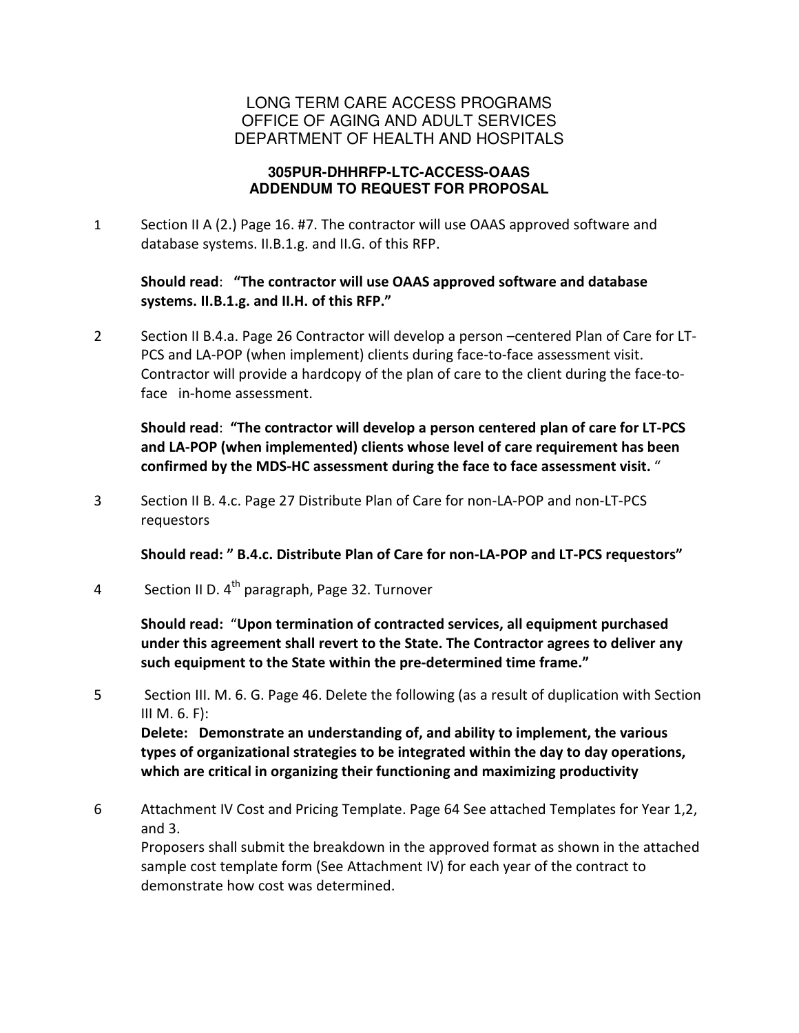### LONG TERM CARE ACCESS PROGRAMS OFFICE OF AGING AND ADULT SERVICES DEPARTMENT OF HEALTH AND HOSPITALS

#### **305PUR-DHHRFP-LTC-ACCESS-OAAS ADDENDUM TO REQUEST FOR PROPOSAL**

1 Section II A (2.) Page 16. #7. The contractor will use OAAS approved software and database systems. II.B.1.g. and II.G. of this RFP.

### Should read: "The contractor will use OAAS approved software and database systems. II.B.1.g. and II.H. of this RFP."

2 Section II B.4.a. Page 26 Contractor will develop a person –centered Plan of Care for LT-PCS and LA-POP (when implement) clients during face-to-face assessment visit. Contractor will provide a hardcopy of the plan of care to the client during the face-toface in-home assessment.

Should read: "The contractor will develop a person centered plan of care for LT-PCS and LA-POP (when implemented) clients whose level of care requirement has been confirmed by the MDS-HC assessment during the face to face assessment visit. "

3 Section II B. 4.c. Page 27 Distribute Plan of Care for non-LA-POP and non-LT-PCS requestors

Should read: " B.4.c. Distribute Plan of Care for non-LA-POP and LT-PCS requestors"

4 Section II D.  $4^{th}$  paragraph, Page 32. Turnover

Should read: "Upon termination of contracted services, all equipment purchased under this agreement shall revert to the State. The Contractor agrees to deliver any such equipment to the State within the pre-determined time frame."

5 Section III. M. 6. G. Page 46. Delete the following (as a result of duplication with Section III M.  $6. F$ :

Delete: Demonstrate an understanding of, and ability to implement, the various types of organizational strategies to be integrated within the day to day operations, which are critical in organizing their functioning and maximizing productivity

6 Attachment IV Cost and Pricing Template. Page 64 See attached Templates for Year 1,2, and 3.

Proposers shall submit the breakdown in the approved format as shown in the attached sample cost template form (See Attachment IV) for each year of the contract to demonstrate how cost was determined.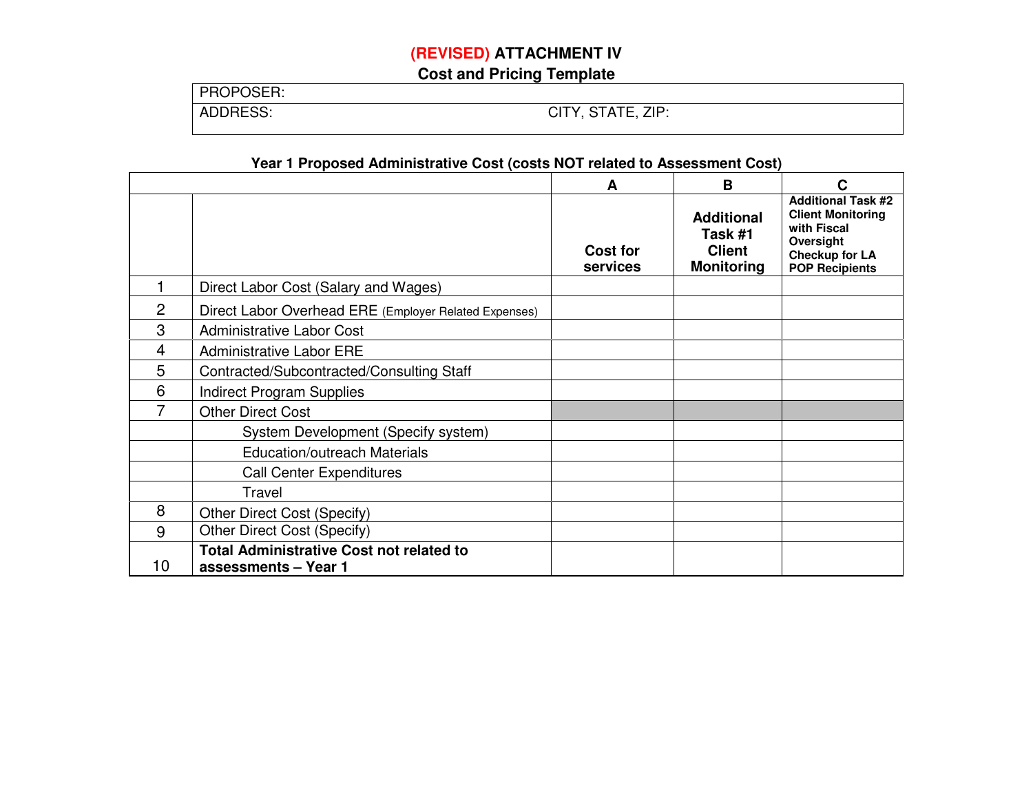# **(REVISED) ATTACHMENT IV**

**Cost and Pricing Template** 

| PROPOSER: |                   |
|-----------|-------------------|
| ADDRESS:  | CITY, STATE, ZIP: |

### **Year 1 Proposed Administrative Cost (costs NOT related to Assessment Cost)**

|                |                                                                         | A                           | B                                                                  | C                                                                                                                                   |
|----------------|-------------------------------------------------------------------------|-----------------------------|--------------------------------------------------------------------|-------------------------------------------------------------------------------------------------------------------------------------|
|                |                                                                         | <b>Cost for</b><br>services | <b>Additional</b><br>Task #1<br><b>Client</b><br><b>Monitoring</b> | <b>Additional Task #2</b><br><b>Client Monitoring</b><br>with Fiscal<br>Oversight<br><b>Checkup for LA</b><br><b>POP Recipients</b> |
|                | Direct Labor Cost (Salary and Wages)                                    |                             |                                                                    |                                                                                                                                     |
| $\overline{c}$ | Direct Labor Overhead ERE (Employer Related Expenses)                   |                             |                                                                    |                                                                                                                                     |
| 3              | <b>Administrative Labor Cost</b>                                        |                             |                                                                    |                                                                                                                                     |
| 4              | <b>Administrative Labor ERE</b>                                         |                             |                                                                    |                                                                                                                                     |
| 5              | Contracted/Subcontracted/Consulting Staff                               |                             |                                                                    |                                                                                                                                     |
| 6              | <b>Indirect Program Supplies</b>                                        |                             |                                                                    |                                                                                                                                     |
| 7              | <b>Other Direct Cost</b>                                                |                             |                                                                    |                                                                                                                                     |
|                | System Development (Specify system)                                     |                             |                                                                    |                                                                                                                                     |
|                | <b>Education/outreach Materials</b>                                     |                             |                                                                    |                                                                                                                                     |
|                | <b>Call Center Expenditures</b>                                         |                             |                                                                    |                                                                                                                                     |
|                | Travel                                                                  |                             |                                                                    |                                                                                                                                     |
| 8              | Other Direct Cost (Specify)                                             |                             |                                                                    |                                                                                                                                     |
| 9              | Other Direct Cost (Specify)                                             |                             |                                                                    |                                                                                                                                     |
| 10             | <b>Total Administrative Cost not related to</b><br>assessments - Year 1 |                             |                                                                    |                                                                                                                                     |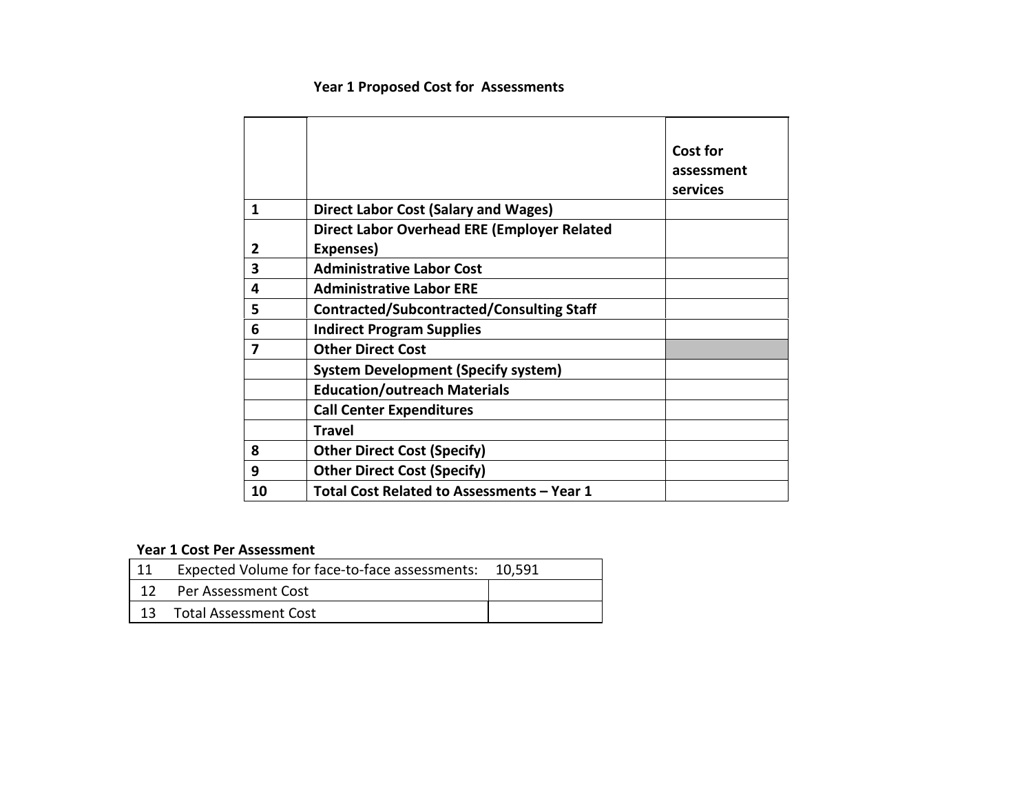# Year 1 Proposed Cost for Assessments

|    |                                                    | <b>Cost for</b> |
|----|----------------------------------------------------|-----------------|
|    |                                                    | assessment      |
|    |                                                    | services        |
| 1  | <b>Direct Labor Cost (Salary and Wages)</b>        |                 |
|    | <b>Direct Labor Overhead ERE (Employer Related</b> |                 |
| 2  | Expenses)                                          |                 |
| 3  | <b>Administrative Labor Cost</b>                   |                 |
| 4  | <b>Administrative Labor ERE</b>                    |                 |
| 5  | <b>Contracted/Subcontracted/Consulting Staff</b>   |                 |
| 6  | <b>Indirect Program Supplies</b>                   |                 |
| 7  | <b>Other Direct Cost</b>                           |                 |
|    | <b>System Development (Specify system)</b>         |                 |
|    | <b>Education/outreach Materials</b>                |                 |
|    | <b>Call Center Expenditures</b>                    |                 |
|    | <b>Travel</b>                                      |                 |
| 8  | <b>Other Direct Cost (Specify)</b>                 |                 |
| 9  | <b>Other Direct Cost (Specify)</b>                 |                 |
| 10 | Total Cost Related to Assessments - Year 1         |                 |

### Year 1 Cost Per Assessment

| Expected Volume for face-to-face assessments: 10,591 |  |
|------------------------------------------------------|--|
| 12 Per Assessment Cost                               |  |
| 13 Total Assessment Cost                             |  |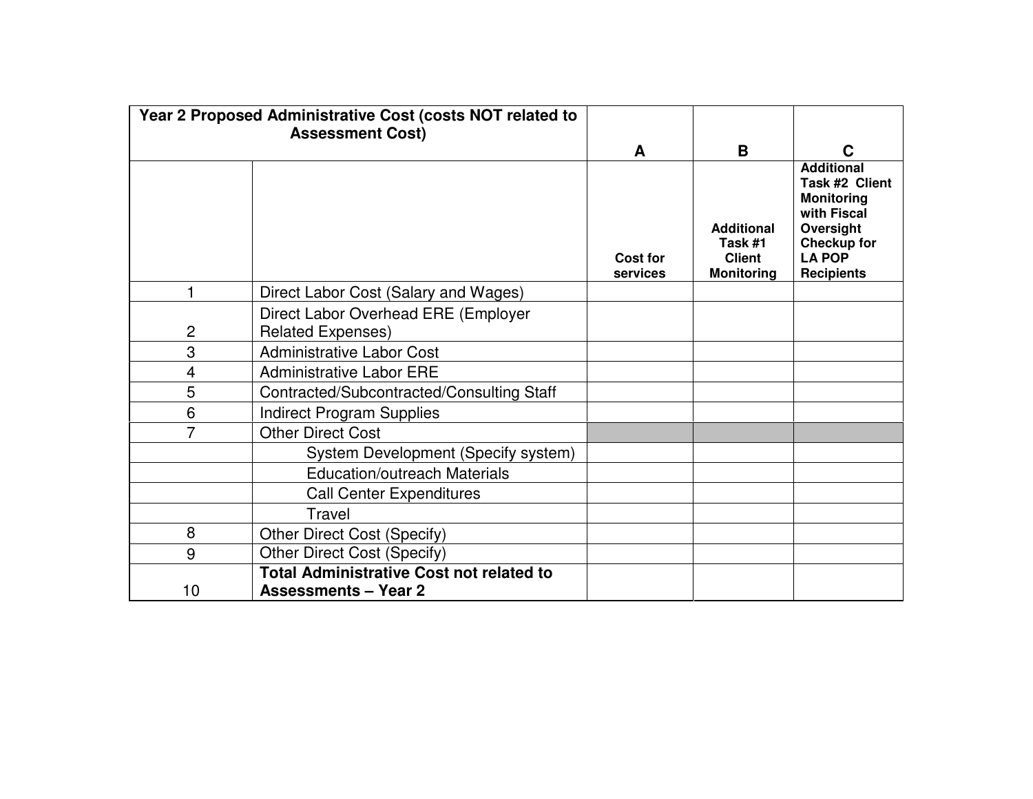|    | Year 2 Proposed Administrative Cost (costs NOT related to<br><b>Assessment Cost)</b> |                      |                                                                    |                                                                                                                                                  |
|----|--------------------------------------------------------------------------------------|----------------------|--------------------------------------------------------------------|--------------------------------------------------------------------------------------------------------------------------------------------------|
|    |                                                                                      | A                    | B                                                                  | C                                                                                                                                                |
|    |                                                                                      | Cost for<br>services | <b>Additional</b><br>Task #1<br><b>Client</b><br><b>Monitoring</b> | <b>Additional</b><br>Task #2 Client<br><b>Monitoring</b><br>with Fiscal<br>Oversight<br><b>Checkup for</b><br><b>LA POP</b><br><b>Recipients</b> |
|    | Direct Labor Cost (Salary and Wages)                                                 |                      |                                                                    |                                                                                                                                                  |
| 2  | Direct Labor Overhead ERE (Employer<br><b>Related Expenses)</b>                      |                      |                                                                    |                                                                                                                                                  |
| 3  | <b>Administrative Labor Cost</b>                                                     |                      |                                                                    |                                                                                                                                                  |
| 4  | <b>Administrative Labor ERE</b>                                                      |                      |                                                                    |                                                                                                                                                  |
| 5  | Contracted/Subcontracted/Consulting Staff                                            |                      |                                                                    |                                                                                                                                                  |
| 6  | <b>Indirect Program Supplies</b>                                                     |                      |                                                                    |                                                                                                                                                  |
| 7  | <b>Other Direct Cost</b>                                                             |                      |                                                                    |                                                                                                                                                  |
|    | System Development (Specify system)                                                  |                      |                                                                    |                                                                                                                                                  |
|    | <b>Education/outreach Materials</b>                                                  |                      |                                                                    |                                                                                                                                                  |
|    | <b>Call Center Expenditures</b>                                                      |                      |                                                                    |                                                                                                                                                  |
|    | Travel                                                                               |                      |                                                                    |                                                                                                                                                  |
| 8  | Other Direct Cost (Specify)                                                          |                      |                                                                    |                                                                                                                                                  |
| 9  | Other Direct Cost (Specify)                                                          |                      |                                                                    |                                                                                                                                                  |
| 10 | <b>Total Administrative Cost not related to</b><br><b>Assessments - Year 2</b>       |                      |                                                                    |                                                                                                                                                  |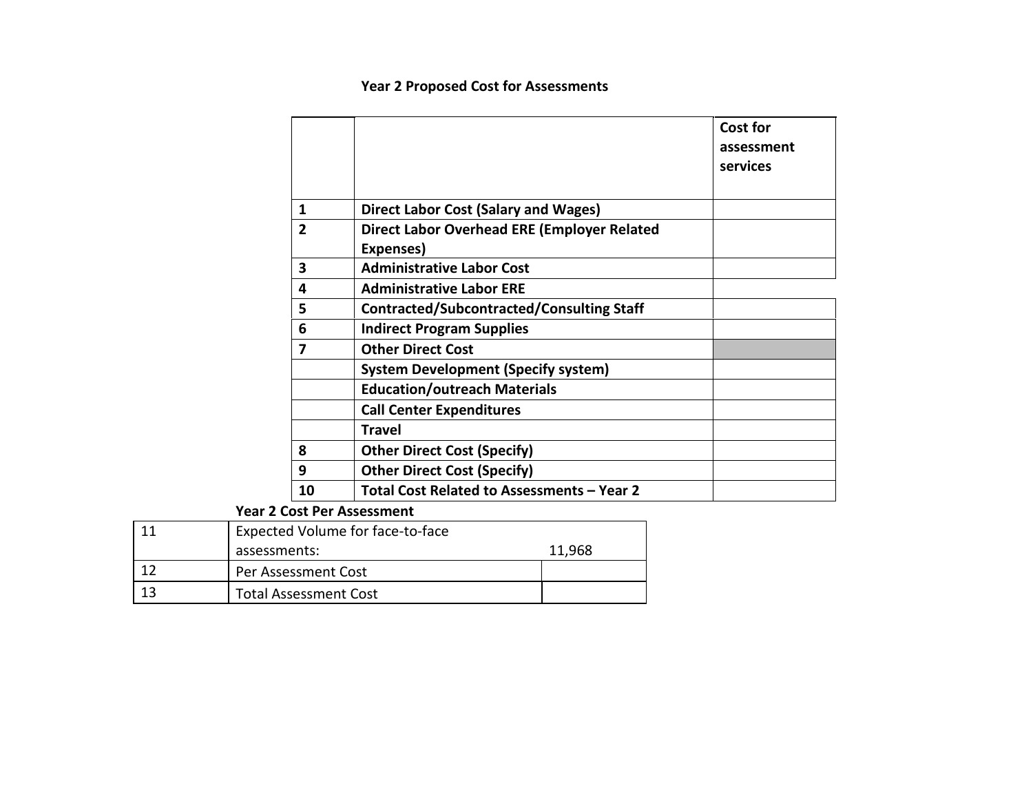# Year 2 Proposed Cost for Assessments

|                |                                                                 | <b>Cost for</b><br>assessment<br>services |
|----------------|-----------------------------------------------------------------|-------------------------------------------|
|                |                                                                 |                                           |
| 1              | <b>Direct Labor Cost (Salary and Wages)</b>                     |                                           |
| $\overline{2}$ | <b>Direct Labor Overhead ERE (Employer Related</b><br>Expenses) |                                           |
| 3              | <b>Administrative Labor Cost</b>                                |                                           |
| 4              | <b>Administrative Labor ERE</b>                                 |                                           |
| 5              | <b>Contracted/Subcontracted/Consulting Staff</b>                |                                           |
| 6              | <b>Indirect Program Supplies</b>                                |                                           |
| 7              | <b>Other Direct Cost</b>                                        |                                           |
|                | <b>System Development (Specify system)</b>                      |                                           |
|                | <b>Education/outreach Materials</b>                             |                                           |
|                | <b>Call Center Expenditures</b>                                 |                                           |
|                | Travel                                                          |                                           |
| 8              | <b>Other Direct Cost (Specify)</b>                              |                                           |
| 9              | <b>Other Direct Cost (Specify)</b>                              |                                           |
| 10             | Total Cost Related to Assessments - Year 2                      |                                           |

Year 2 Cost Per Assessment

| Expected Volume for face-to-face |        |  |  |  |
|----------------------------------|--------|--|--|--|
| assessments:                     | 11,968 |  |  |  |
| Per Assessment Cost              |        |  |  |  |
| <b>Total Assessment Cost</b>     |        |  |  |  |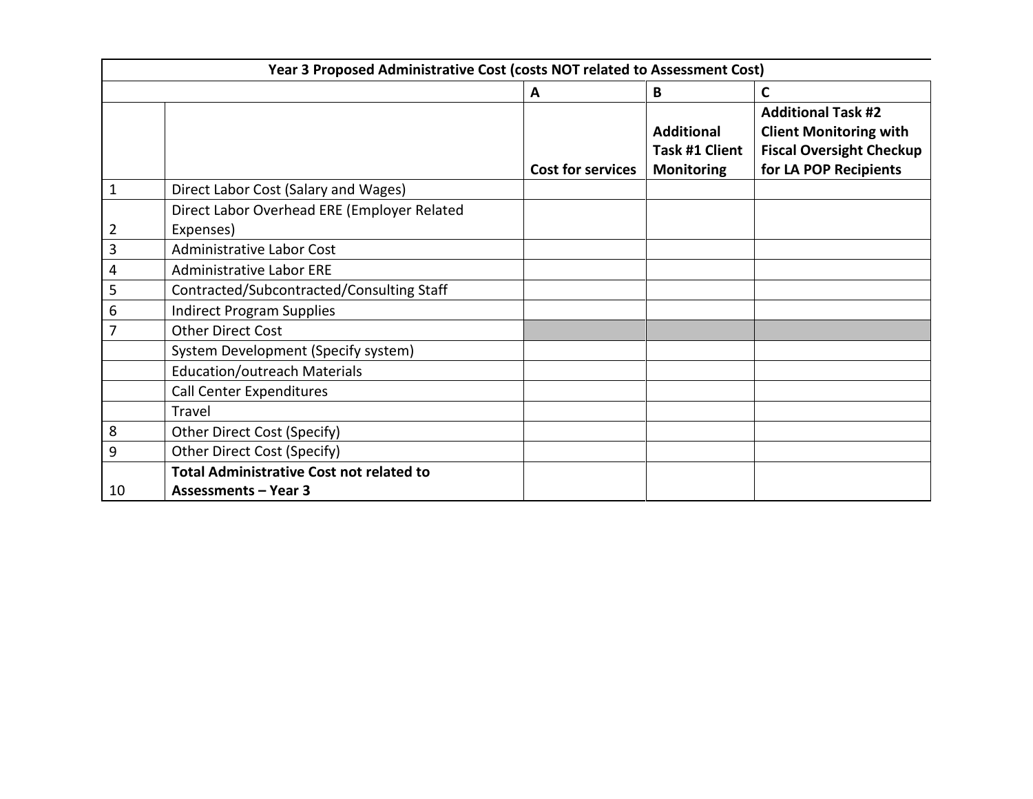|    | Year 3 Proposed Administrative Cost (costs NOT related to Assessment Cost) |                          |                                                          |                                                                                                                        |  |  |  |
|----|----------------------------------------------------------------------------|--------------------------|----------------------------------------------------------|------------------------------------------------------------------------------------------------------------------------|--|--|--|
|    |                                                                            | А                        | B                                                        | C                                                                                                                      |  |  |  |
|    |                                                                            | <b>Cost for services</b> | <b>Additional</b><br>Task #1 Client<br><b>Monitoring</b> | <b>Additional Task #2</b><br><b>Client Monitoring with</b><br><b>Fiscal Oversight Checkup</b><br>for LA POP Recipients |  |  |  |
| 1  | Direct Labor Cost (Salary and Wages)                                       |                          |                                                          |                                                                                                                        |  |  |  |
|    | Direct Labor Overhead ERE (Employer Related                                |                          |                                                          |                                                                                                                        |  |  |  |
| 2  | Expenses)                                                                  |                          |                                                          |                                                                                                                        |  |  |  |
| 3  | <b>Administrative Labor Cost</b>                                           |                          |                                                          |                                                                                                                        |  |  |  |
| 4  | <b>Administrative Labor ERE</b>                                            |                          |                                                          |                                                                                                                        |  |  |  |
| 5  | Contracted/Subcontracted/Consulting Staff                                  |                          |                                                          |                                                                                                                        |  |  |  |
| 6  | <b>Indirect Program Supplies</b>                                           |                          |                                                          |                                                                                                                        |  |  |  |
| 7  | <b>Other Direct Cost</b>                                                   |                          |                                                          |                                                                                                                        |  |  |  |
|    | System Development (Specify system)                                        |                          |                                                          |                                                                                                                        |  |  |  |
|    | <b>Education/outreach Materials</b>                                        |                          |                                                          |                                                                                                                        |  |  |  |
|    | <b>Call Center Expenditures</b>                                            |                          |                                                          |                                                                                                                        |  |  |  |
|    | Travel                                                                     |                          |                                                          |                                                                                                                        |  |  |  |
| 8  | Other Direct Cost (Specify)                                                |                          |                                                          |                                                                                                                        |  |  |  |
| 9  | Other Direct Cost (Specify)                                                |                          |                                                          |                                                                                                                        |  |  |  |
|    | <b>Total Administrative Cost not related to</b>                            |                          |                                                          |                                                                                                                        |  |  |  |
| 10 | <b>Assessments - Year 3</b>                                                |                          |                                                          |                                                                                                                        |  |  |  |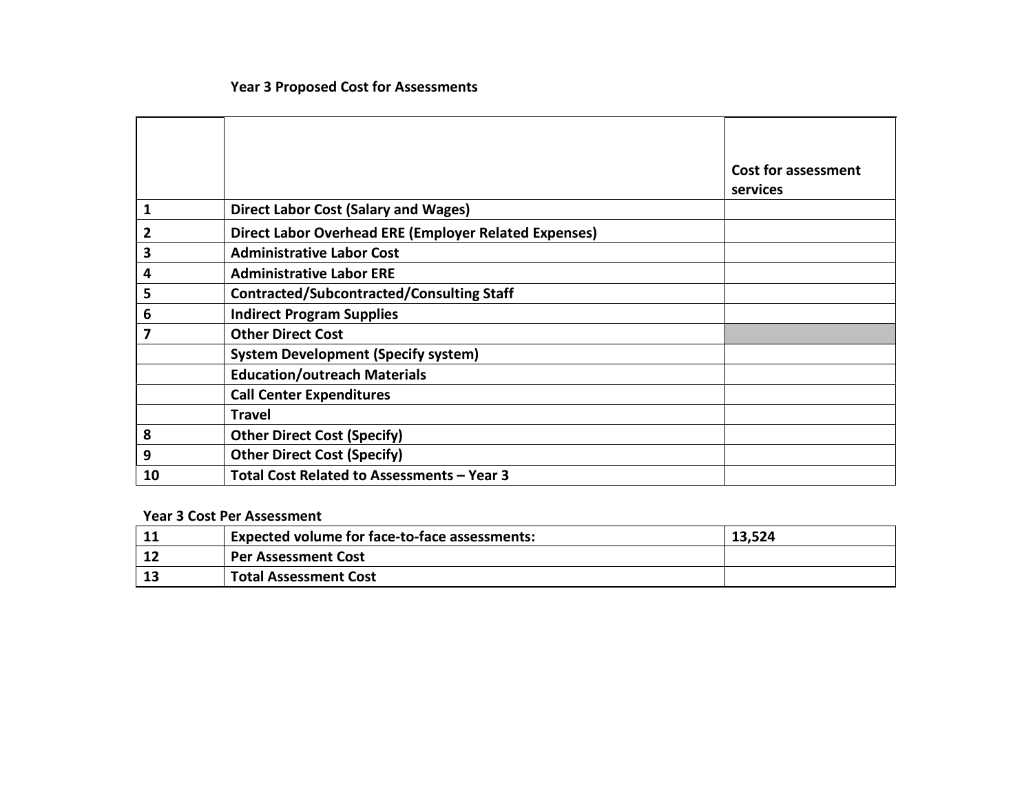# Year 3 Proposed Cost for Assessments

|    |                                                              | <b>Cost for assessment</b><br>services |
|----|--------------------------------------------------------------|----------------------------------------|
| 1  | Direct Labor Cost (Salary and Wages)                         |                                        |
| 2  | <b>Direct Labor Overhead ERE (Employer Related Expenses)</b> |                                        |
| 3  | <b>Administrative Labor Cost</b>                             |                                        |
| 4  | <b>Administrative Labor ERE</b>                              |                                        |
| 5  | <b>Contracted/Subcontracted/Consulting Staff</b>             |                                        |
| 6  | <b>Indirect Program Supplies</b>                             |                                        |
| 7  | <b>Other Direct Cost</b>                                     |                                        |
|    | <b>System Development (Specify system)</b>                   |                                        |
|    | <b>Education/outreach Materials</b>                          |                                        |
|    | <b>Call Center Expenditures</b>                              |                                        |
|    | Travel                                                       |                                        |
| 8  | <b>Other Direct Cost (Specify)</b>                           |                                        |
| 9  | <b>Other Direct Cost (Specify)</b>                           |                                        |
| 10 | Total Cost Related to Assessments - Year 3                   |                                        |

#### Year 3 Cost Per Assessment

| <b>TT</b> | <b>Expected volume for face-to-face assessments:</b> | 13,524 |
|-----------|------------------------------------------------------|--------|
|           | <b>Per Assessment Cost</b>                           |        |
|           | <b>Total Assessment Cost</b>                         |        |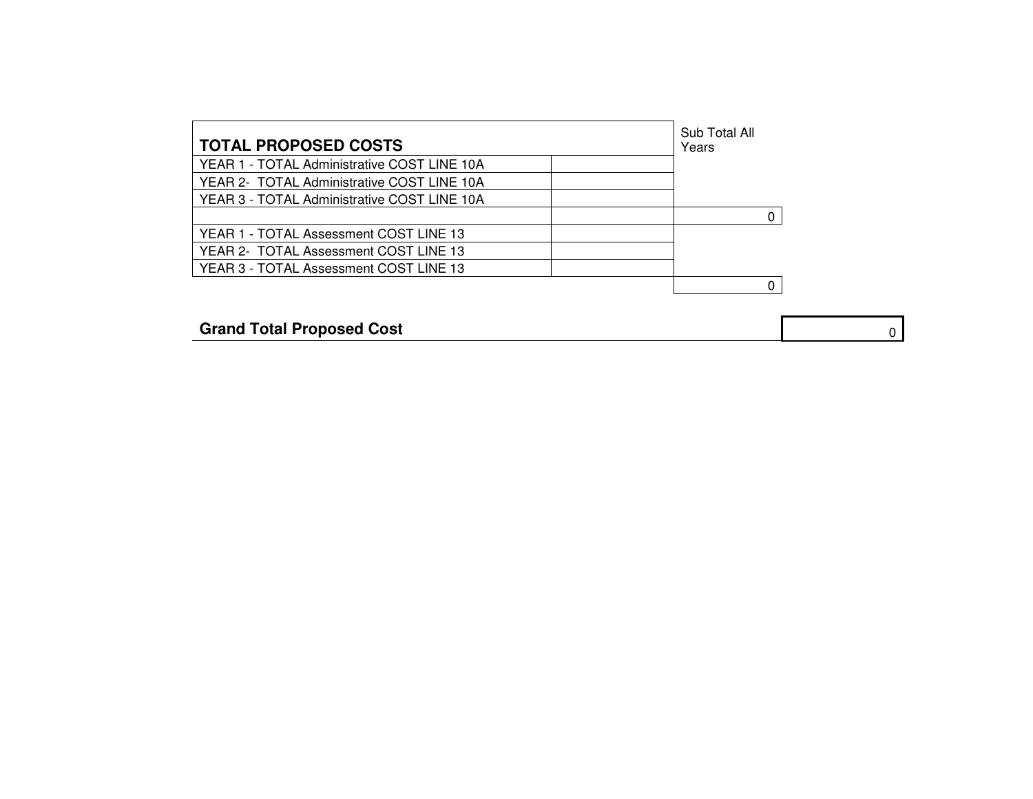| <b>TOTAL PROPOSED COSTS</b>                 | Sub Total All<br>Years |
|---------------------------------------------|------------------------|
| YEAR 1 - TOTAL Administrative COST LINE 10A |                        |
| YEAR 2- TOTAL Administrative COST LINE 10A  |                        |
| YEAR 3 - TOTAL Administrative COST LINE 10A |                        |
|                                             |                        |
| YEAR 1 - TOTAL Assessment COST LINE 13      |                        |
| YEAR 2- TOTAL Assessment COST LINE 13       |                        |
| YEAR 3 - TOTAL Assessment COST LINE 13      |                        |
|                                             |                        |
|                                             |                        |

**Grand Total Proposed Cost 000 and 1000 and 1000 and 1000 and 1000 and 1000 and 1000 and 1000 and 1000 and 1000 and 1000 and 1000 and 1000 and 1000 and 1000 and 1000 and 1000 and 1000 and 1000 and 1000 and 1000 and 1000**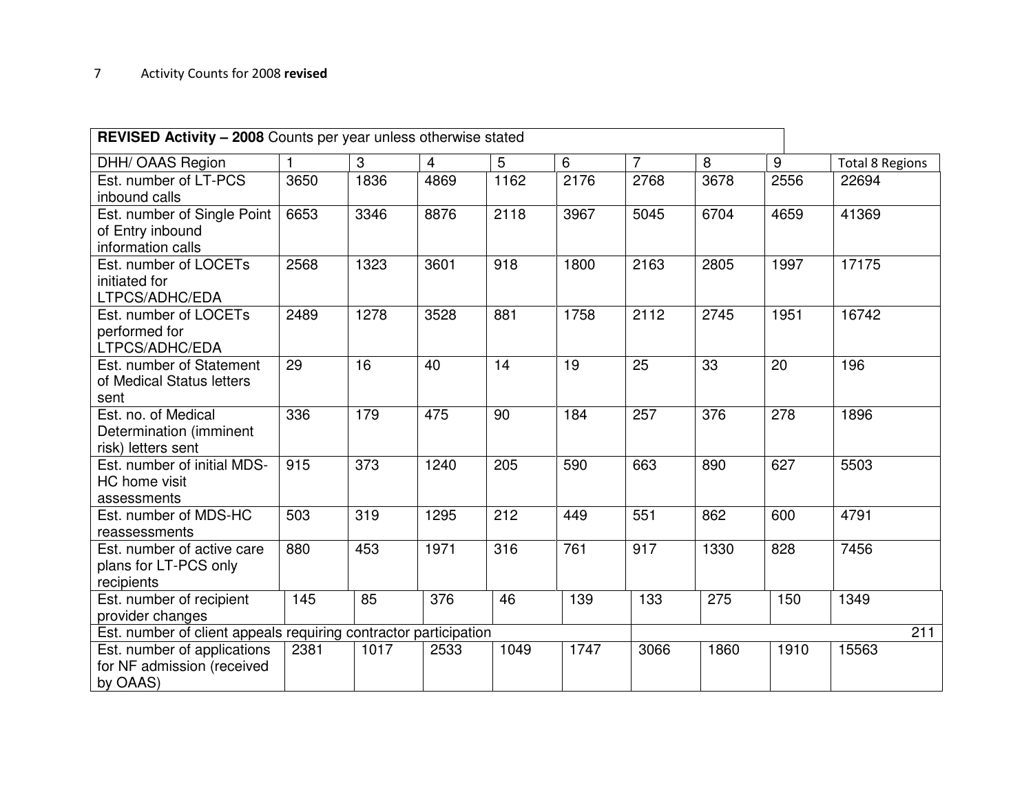| <b>REVISED Activity - 2008</b> Counts per year unless otherwise stated |                  |      |                  |      |      |                |      |      |                        |
|------------------------------------------------------------------------|------------------|------|------------------|------|------|----------------|------|------|------------------------|
| DHH/ OAAS Region                                                       | 1                | 3    | $\overline{4}$   | 5    | 6    | $\overline{7}$ | 8    | 9    | <b>Total 8 Regions</b> |
| Est. number of LT-PCS<br>inbound calls                                 | 3650             | 1836 | 4869             | 1162 | 2176 | 2768           | 3678 | 2556 | 22694                  |
| Est. number of Single Point<br>of Entry inbound<br>information calls   | 6653             | 3346 | 8876             | 2118 | 3967 | 5045           | 6704 | 4659 | 41369                  |
| Est. number of LOCETs<br>initiated for<br>LTPCS/ADHC/EDA               | 2568             | 1323 | 3601             | 918  | 1800 | 2163           | 2805 | 1997 | 17175                  |
| Est. number of LOCETs<br>performed for<br>LTPCS/ADHC/EDA               | 2489             | 1278 | 3528             | 881  | 1758 | 2112           | 2745 | 1951 | 16742                  |
| Est. number of Statement<br>of Medical Status letters<br>sent          | 29               | 16   | 40               | 14   | 19   | 25             | 33   | 20   | 196                    |
| Est. no. of Medical<br>Determination (imminent<br>risk) letters sent   | 336              | 179  | 475              | 90   | 184  | 257            | 376  | 278  | 1896                   |
| Est. number of initial MDS-<br>HC home visit<br>assessments            | 915              | 373  | 1240             | 205  | 590  | 663            | 890  | 627  | 5503                   |
| Est. number of MDS-HC<br>reassessments                                 | 503              | 319  | 1295             | 212  | 449  | 551            | 862  | 600  | 4791                   |
| Est. number of active care<br>plans for LT-PCS only<br>recipients      | 880              | 453  | 1971             | 316  | 761  | 917            | 1330 | 828  | 7456                   |
| Est. number of recipient<br>provider changes                           | $\overline{145}$ | 85   | $\overline{376}$ | 46   | 139  | 133            | 275  | 150  | 1349                   |
| Est. number of client appeals requiring contractor participation       |                  |      |                  |      |      |                |      |      | 211                    |
| Est. number of applications<br>for NF admission (received<br>by OAAS)  | 2381             | 1017 | 2533             | 1049 | 1747 | 3066           | 1860 | 1910 | 15563                  |